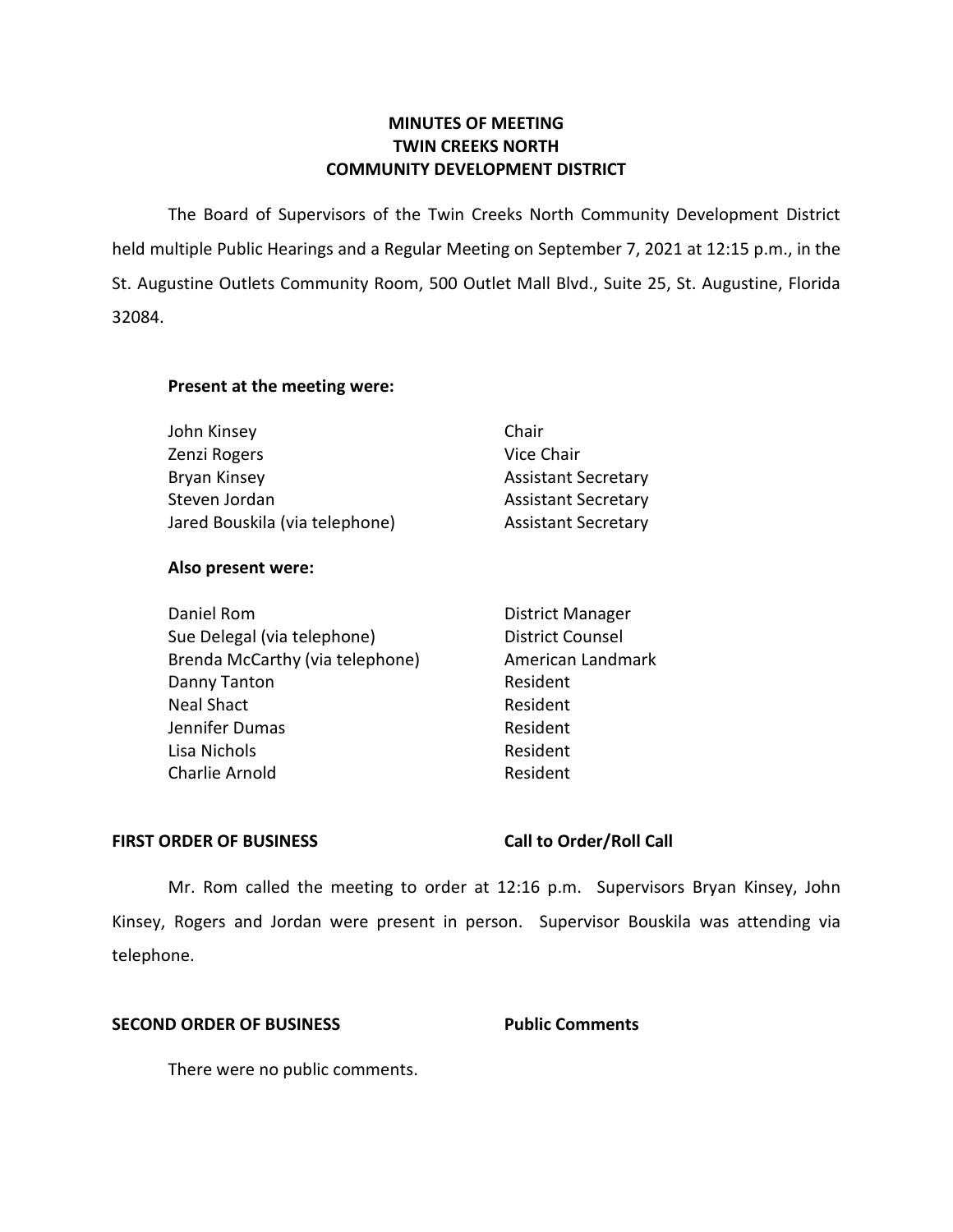# **MINUTES OF MEETING TWIN CREEKS NORTH COMMUNITY DEVELOPMENT DISTRICT**

 The Board of Supervisors of the Twin Creeks North Community Development District held multiple Public Hearings and a Regular Meeting on September 7, 2021 at 12:15 p.m., in the St. Augustine Outlets Community Room, 500 Outlet Mall Blvd., Suite 25, St. Augustine, Florida 32084.

## **Present at the meeting were:**

| John Kinsey                    | Chair                      |
|--------------------------------|----------------------------|
| Zenzi Rogers                   | Vice Chair                 |
| Bryan Kinsey                   | <b>Assistant Secretary</b> |
| Steven Jordan                  | <b>Assistant Secretary</b> |
| Jared Bouskila (via telephone) | <b>Assistant Secretary</b> |

## **Also present were:**

| Daniel Rom                      | District Manager        |
|---------------------------------|-------------------------|
| Sue Delegal (via telephone)     | <b>District Counsel</b> |
| Brenda McCarthy (via telephone) | American Landmark       |
| Danny Tanton                    | Resident                |
| <b>Neal Shact</b>               | Resident                |
| Jennifer Dumas                  | Resident                |
| Lisa Nichols                    | Resident                |
| Charlie Arnold                  | Resident                |

# FIRST ORDER OF BUSINESS Call to Order/Roll Call

 Kinsey, Rogers and Jordan were present in person. Supervisor Bouskila was attending via Mr. Rom called the meeting to order at 12:16 p.m. Supervisors Bryan Kinsey, John telephone.

## **SECOND ORDER OF BUSINESS Public Comments**

There were no public comments.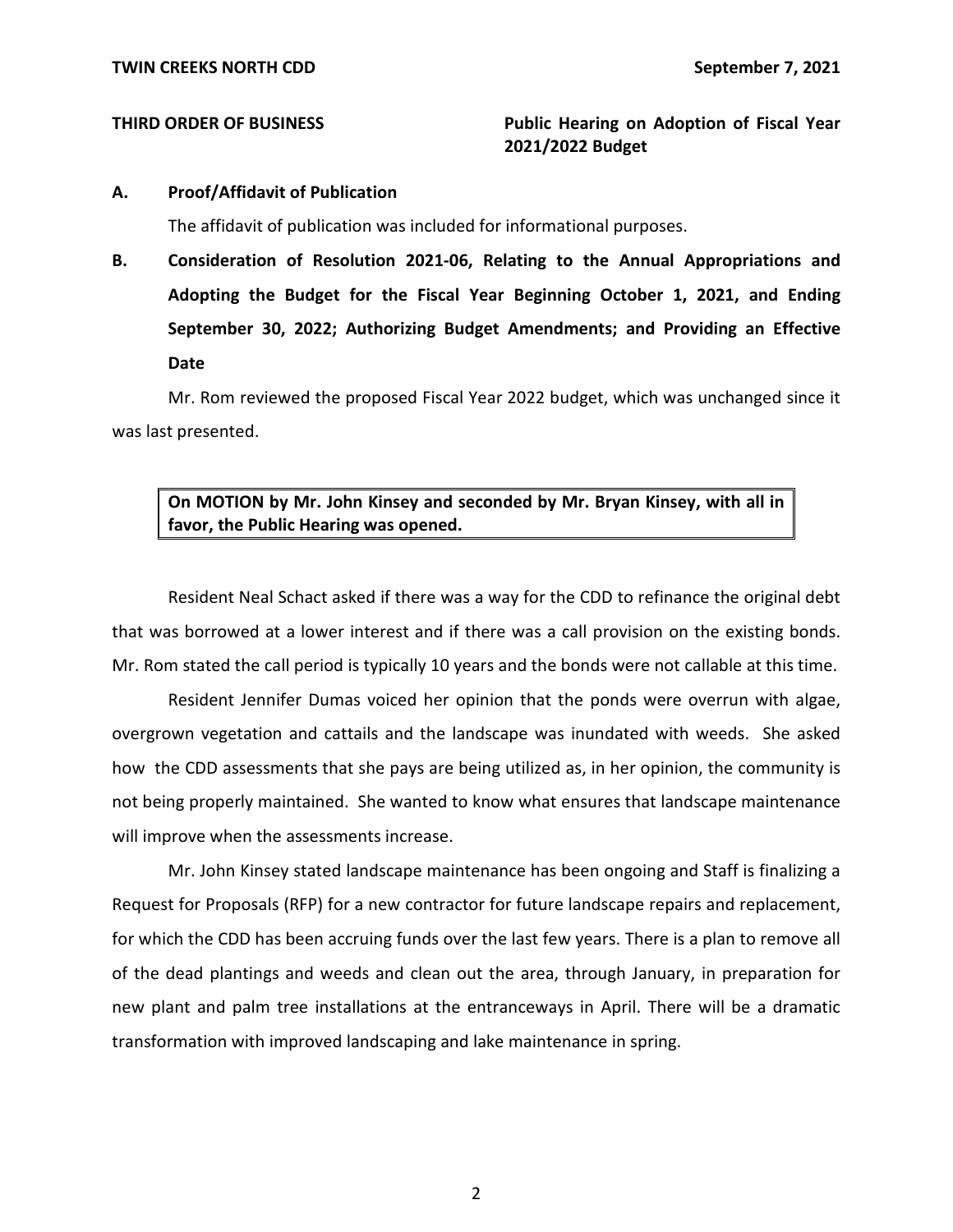# **THIRD ORDER OF BUSINESS Public Hearing on Adoption of Fiscal Year 2021/2022 Budget**

### **A. Proof/Affidavit of Publication**

The affidavit of publication was included for informational purposes.

**B. Consideration of Resolution 2021-06, Relating to the Annual Appropriations and Adopting the Budget for the Fiscal Year Beginning October 1, 2021, and Ending September 30, 2022; Authorizing Budget Amendments; and Providing an Effective Date** 

Mr. Rom reviewed the proposed Fiscal Year 2022 budget, which was unchanged since it was last presented.

# **On MOTION by Mr. John Kinsey and seconded by Mr. Bryan Kinsey, with all in favor, the Public Hearing was opened.**

Resident Neal Schact asked if there was a way for the CDD to refinance the original debt that was borrowed at a lower interest and if there was a call provision on the existing bonds. Mr. Rom stated the call period is typically 10 years and the bonds were not callable at this time.

Resident Jennifer Dumas voiced her opinion that the ponds were overrun with algae, overgrown vegetation and cattails and the landscape was inundated with weeds. She asked how the CDD assessments that she pays are being utilized as, in her opinion, the community is not being properly maintained. She wanted to know what ensures that landscape maintenance will improve when the assessments increase.

Mr. John Kinsey stated landscape maintenance has been ongoing and Staff is finalizing a Request for Proposals (RFP) for a new contractor for future landscape repairs and replacement, for which the CDD has been accruing funds over the last few years. There is a plan to remove all of the dead plantings and weeds and clean out the area, through January, in preparation for new plant and palm tree installations at the entranceways in April. There will be a dramatic transformation with improved landscaping and lake maintenance in spring.

2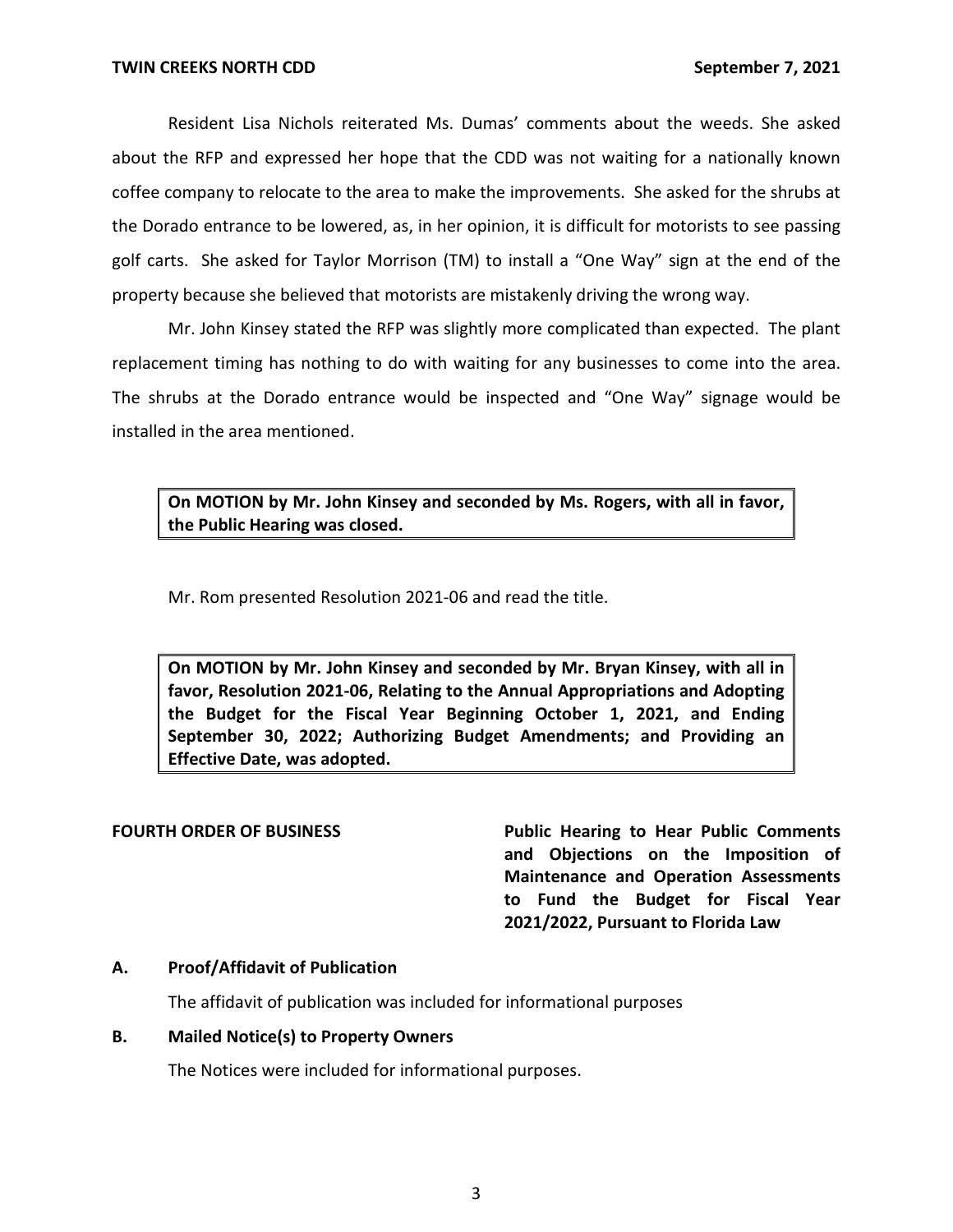Resident Lisa Nichols reiterated Ms. Dumas' comments about the weeds. She asked about the RFP and expressed her hope that the CDD was not waiting for a nationally known coffee company to relocate to the area to make the improvements. She asked for the shrubs at the Dorado entrance to be lowered, as, in her opinion, it is difficult for motorists to see passing golf carts. She asked for Taylor Morrison (TM) to install a "One Way" sign at the end of the property because she believed that motorists are mistakenly driving the wrong way.

Mr. John Kinsey stated the RFP was slightly more complicated than expected. The plant replacement timing has nothing to do with waiting for any businesses to come into the area. The shrubs at the Dorado entrance would be inspected and "One Way" signage would be installed in the area mentioned.

# **On MOTION by Mr. John Kinsey and seconded by Ms. Rogers, with all in favor, the Public Hearing was closed.**

Mr. Rom presented Resolution 2021-06 and read the title.

 **On MOTION by Mr. John Kinsey and seconded by Mr. Bryan Kinsey, with all in favor, Resolution 2021-06, Relating to the Annual Appropriations and Adopting the Budget for the Fiscal Year Beginning October 1, 2021, and Ending September 30, 2022; Authorizing Budget Amendments; and Providing an Effective Date, was adopted.** 

**FOURTH ORDER OF BUSINESS Public Hearing to Hear Public Comments and Objections on the Imposition of Maintenance and Operation Assessments to Fund the Budget for Fiscal Year 2021/2022, Pursuant to Florida Law** 

## **A. Proof/Affidavit of Publication**

The affidavit of publication was included for informational purposes

### **B. Mailed Notice(s) to Property Owners**

The Notices were included for informational purposes.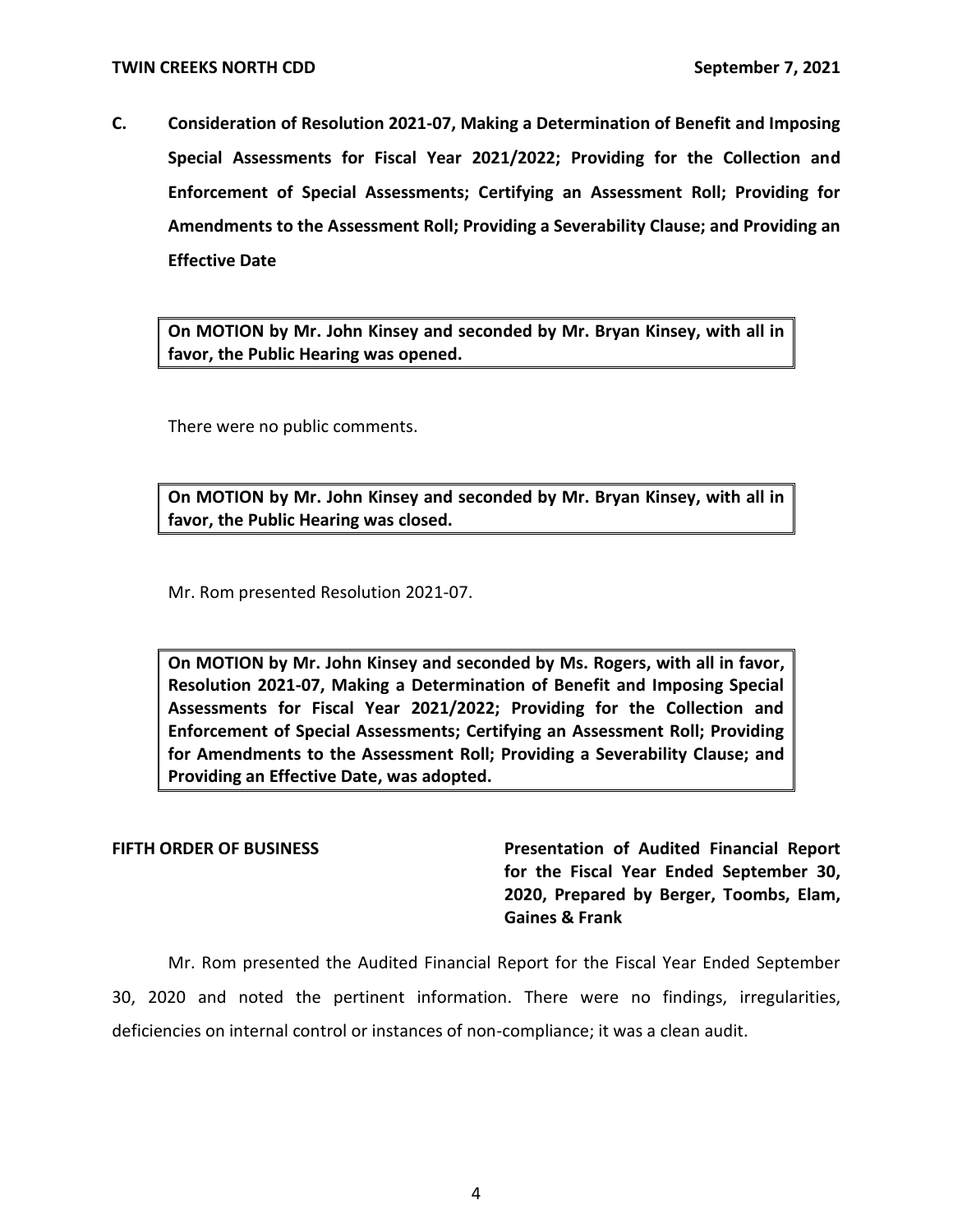**C. Consideration of Resolution 2021-07, Making a Determination of Benefit and Imposing Special Assessments for Fiscal Year 2021/2022; Providing for the Collection and Enforcement of Special Assessments; Certifying an Assessment Roll; Providing for Amendments to the Assessment Roll; Providing a Severability Clause; and Providing an Effective Date** 

 **On MOTION by Mr. John Kinsey and seconded by Mr. Bryan Kinsey, with all in favor, the Public Hearing was opened.** 

There were no public comments.

 **On MOTION by Mr. John Kinsey and seconded by Mr. Bryan Kinsey, with all in favor, the Public Hearing was closed.** 

Mr. Rom presented Resolution 2021-07.

 **On MOTION by Mr. John Kinsey and seconded by Ms. Rogers, with all in favor, Resolution 2021-07, Making a Determination of Benefit and Imposing Special Assessments for Fiscal Year 2021/2022; Providing for the Collection and Enforcement of Special Assessments; Certifying an Assessment Roll; Providing for Amendments to the Assessment Roll; Providing a Severability Clause; and Providing an Effective Date, was adopted.** 

**FIFTH ORDER OF BUSINESS Presentation of Audited Financial Report for the Fiscal Year Ended September 30, 2020, Prepared by Berger, Toombs, Elam, Gaines & Frank** 

 Mr. Rom presented the Audited Financial Report for the Fiscal Year Ended September 30, 2020 and noted the pertinent information. There were no findings, irregularities, deficiencies on internal control or instances of non-compliance; it was a clean audit.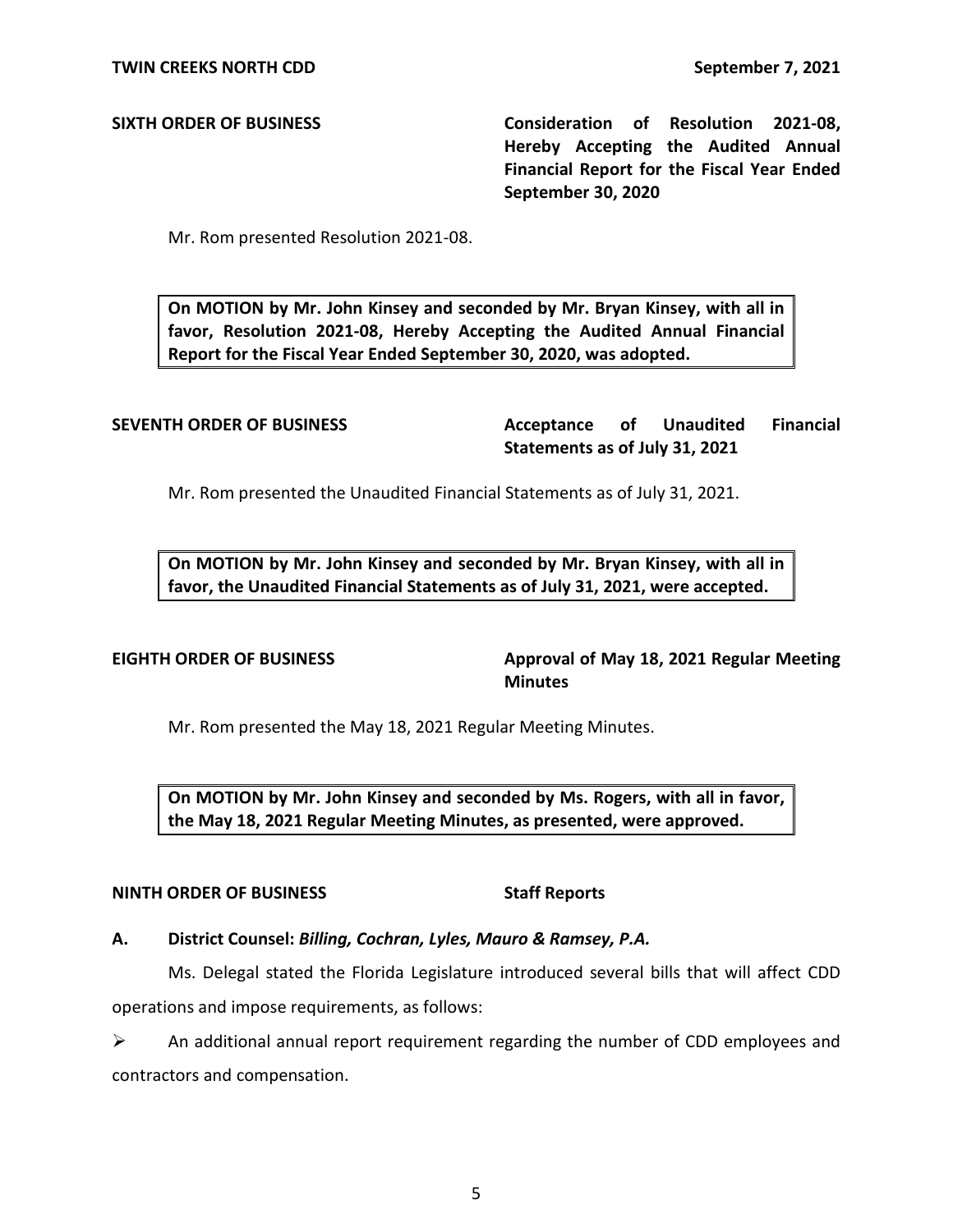**SIXTH ORDER OF BUSINESS Consideration of Resolution 2021-08, Hereby Accepting the Audited Annual Financial Report for the Fiscal Year Ended September 30, 2020** 

Mr. Rom presented Resolution 2021-08.

 **On MOTION by Mr. John Kinsey and seconded by Mr. Bryan Kinsey, with all in favor, Resolution 2021-08, Hereby Accepting the Audited Annual Financial Report for the Fiscal Year Ended September 30, 2020, was adopted.** 

**SEVENTH ORDER OF BUSINESS Acceptance of Unaudited Financial Statements as of July 31, 2021** 

Mr. Rom presented the Unaudited Financial Statements as of July 31, 2021.

 **On MOTION by Mr. John Kinsey and seconded by Mr. Bryan Kinsey, with all in favor, the Unaudited Financial Statements as of July 31, 2021, were accepted.** 

EIGHTH ORDER OF BUSINESS **Approval of May 18, 2021 Regular Meeting Minutes** 

Mr. Rom presented the May 18, 2021 Regular Meeting Minutes.

 **On MOTION by Mr. John Kinsey and seconded by Ms. Rogers, with all in favor, the May 18, 2021 Regular Meeting Minutes, as presented, were approved.** 

## **NINTH ORDER OF BUSINESS** Staff Reports

## **A. District Counsel:** *Billing, Cochran, Lyles, Mauro & Ramsey, P.A.*

Ms. Delegal stated the Florida Legislature introduced several bills that will affect CDD operations and impose requirements, as follows:

 $\triangleright$  An additional annual report requirement regarding the number of CDD employees and contractors and compensation.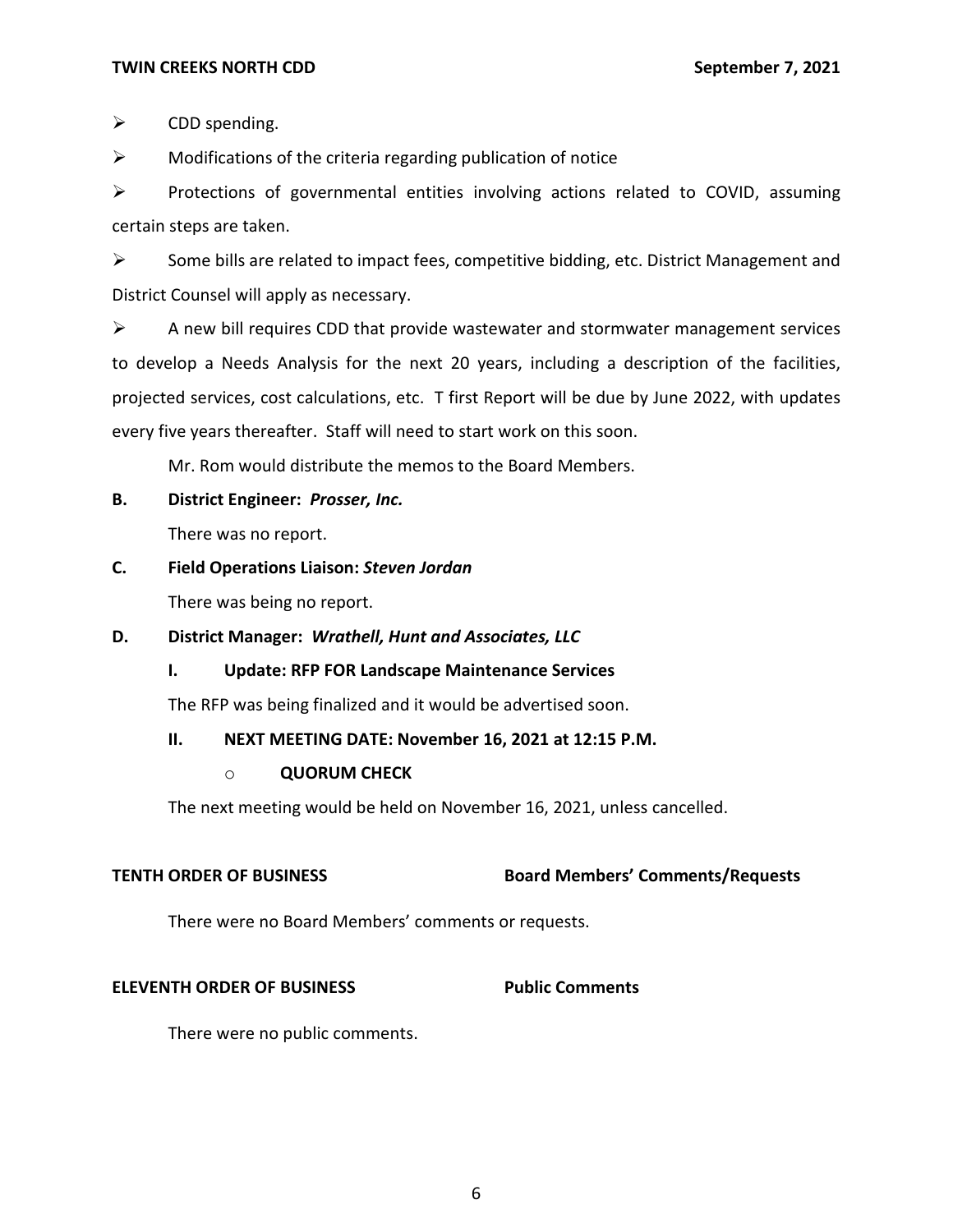➢ CDD spending.

 $\triangleright$  Modifications of the criteria regarding publication of notice

 $\triangleright$  Protections of governmental entities involving actions related to COVID, assuming certain steps are taken.

➢ Some bills are related to impact fees, competitive bidding, etc. District Management and District Counsel will apply as necessary.

 $\triangleright$  A new bill requires CDD that provide wastewater and stormwater management services to develop a Needs Analysis for the next 20 years, including a description of the facilities, projected services, cost calculations, etc. T first Report will be due by June 2022, with updates every five years thereafter. Staff will need to start work on this soon.

Mr. Rom would distribute the memos to the Board Members.

## **B. District Engineer:** *Prosser, Inc.*

There was no report.

**C. Field Operations Liaison:** *Steven Jordan* 

There was being no report.

## **D. District Manager:** *Wrathell, Hunt and Associates, LLC*

## **I. Update: RFP FOR Landscape Maintenance Services**

The RFP was being finalized and it would be advertised soon.

## **II. NEXT MEETING DATE: November 16, 2021 at 12:15 P.M.**

## o **QUORUM CHECK**

The next meeting would be held on November 16, 2021, unless cancelled.

## **TENTH ORDER OF BUSINESS Board Members' Comments/Requests**

There were no Board Members' comments or requests.

## **ELEVENTH ORDER OF BUSINESS Public Comments**

There were no public comments.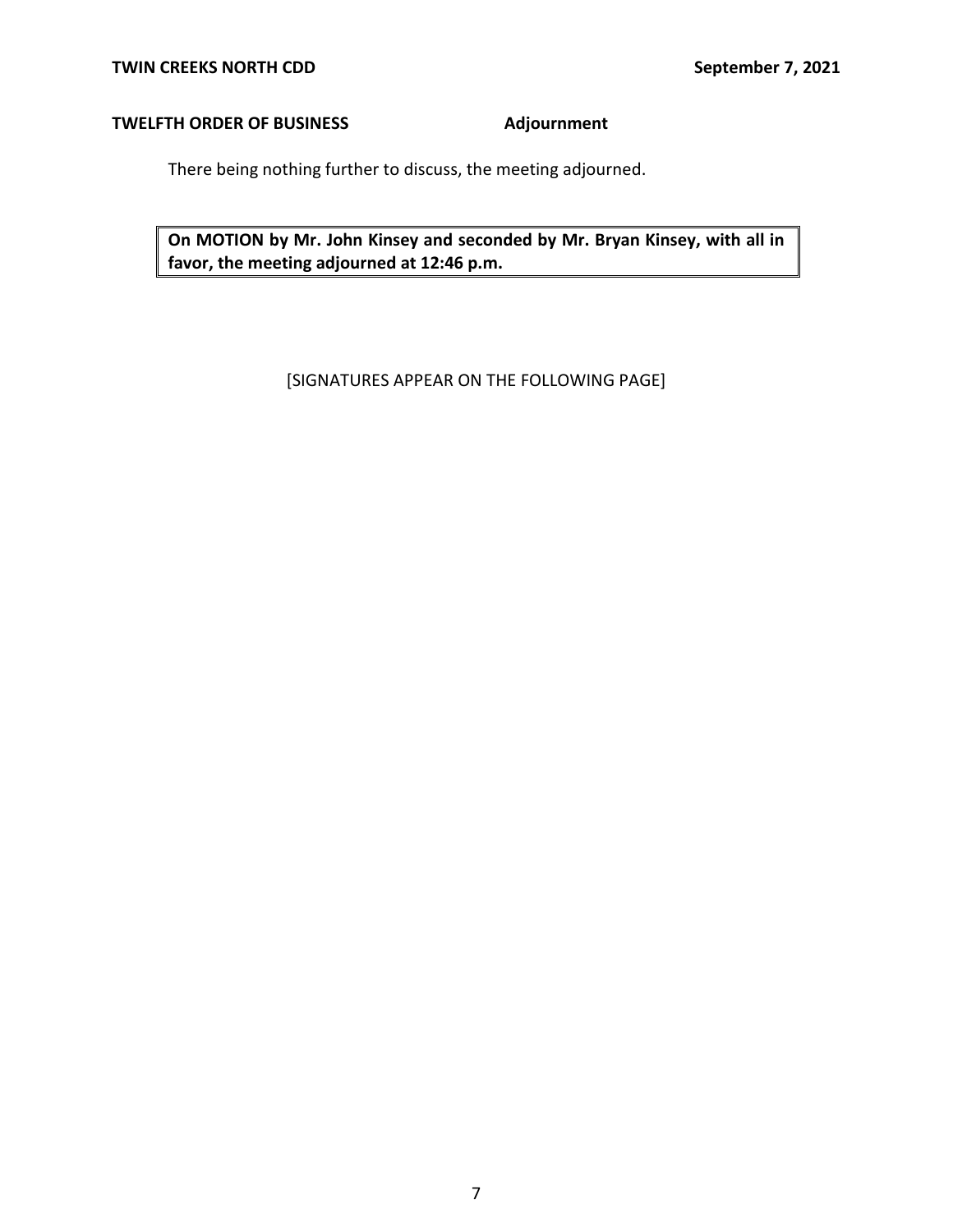# **TWELFTH ORDER OF BUSINESS Adjournment**

There being nothing further to discuss, the meeting adjourned.

 **On MOTION by Mr. John Kinsey and seconded by Mr. Bryan Kinsey, with all in favor, the meeting adjourned at 12:46 p.m.** 

# [SIGNATURES APPEAR ON THE FOLLOWING PAGE]